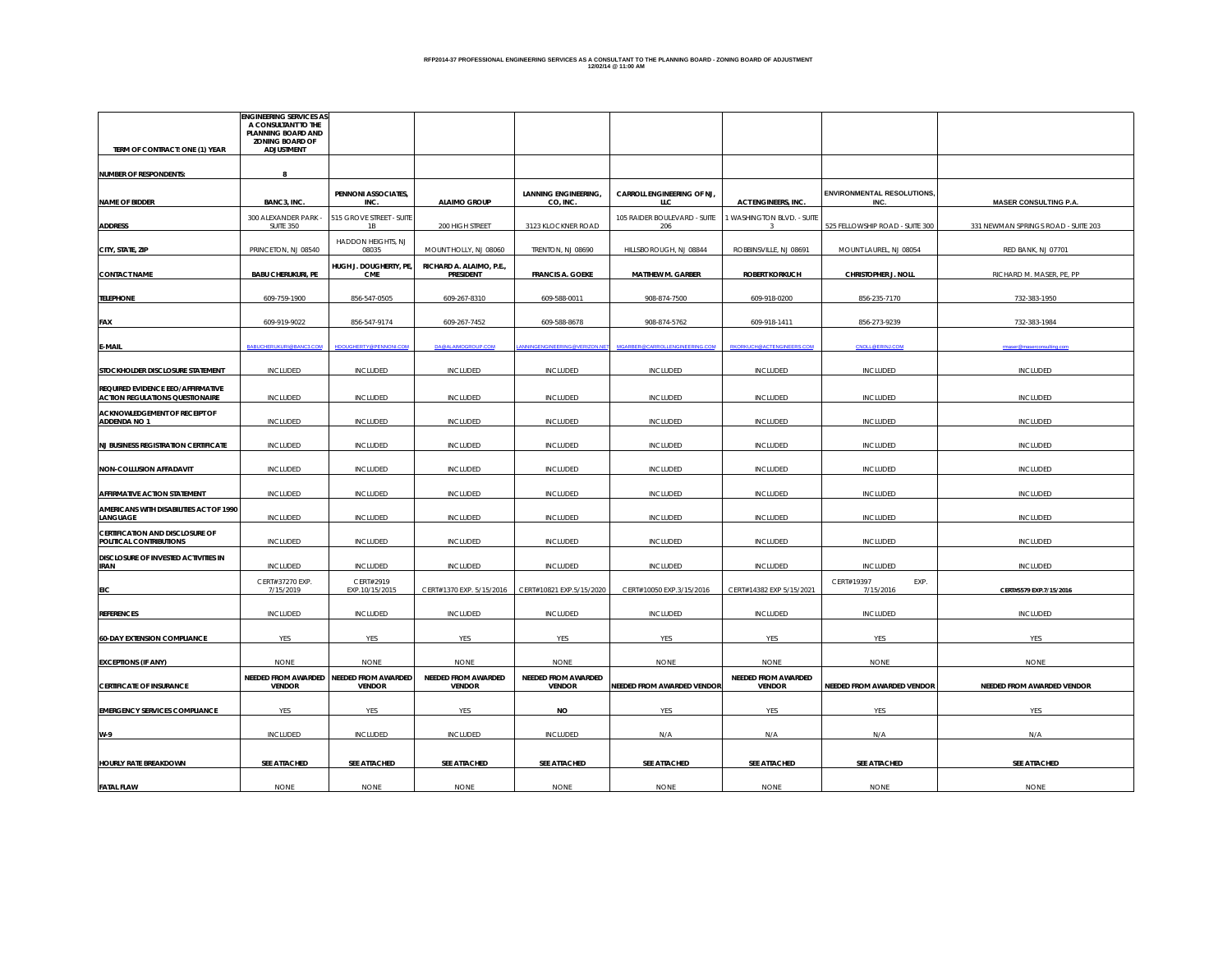#### **RFP2014-37 PROFESSIONAL ENGINEERING SERVICES AS A CONSULTANT TO THE PLANNING BOARD - ZONING BOARD OF ADJUSTMENT 12/02/14 @ 11:00 AM**

|                                                                             | <b>ENGINEERING SERVICES AS</b><br>A CONSULTANT TO THE      |                                                          |                                       |                                         |                                     |                                      |                                           |                                     |
|-----------------------------------------------------------------------------|------------------------------------------------------------|----------------------------------------------------------|---------------------------------------|-----------------------------------------|-------------------------------------|--------------------------------------|-------------------------------------------|-------------------------------------|
| TERM OF CONTRACT: ONE (1) YEAR                                              | PLANNING BOARD AND<br><b>ZONING BOARD OF</b><br>ADJUSTMENT |                                                          |                                       |                                         |                                     |                                      |                                           |                                     |
|                                                                             |                                                            |                                                          |                                       |                                         |                                     |                                      |                                           |                                     |
| <b>NUMBER OF RESPONDENTS:</b>                                               | 8                                                          |                                                          |                                       |                                         |                                     |                                      |                                           |                                     |
| <b>NAME OF BIDDER</b>                                                       | BANC3, INC.                                                | PENNONI ASSOCIATES,<br>INC.                              | <b>ALAIMO GROUP</b>                   | <b>LANNING ENGINEERING,</b><br>CO, INC. | CARROLL ENGINEERING OF NJ,<br>LLC   | <b>ACT ENGINEERS, INC.</b>           | <b>ENVIRONMENTAL RESOLUTIONS,</b><br>INC. | <b>MASER CONSULTING P.A.</b>        |
| <b>ADDRESS</b>                                                              | 300 ALEXANDER PARK<br><b>SUITE 350</b>                     | 515 GROVE STREET - SUITE<br>1B                           | 200 HIGH STREET                       | 3123 KLOCKNER ROAD                      | 105 RAIDER BOULEVARD - SUITE<br>206 | WASHINGTON BLVD. - SUITE<br>3        | 525 FELLOWSHIP ROAD - SUITE 300           | 331 NEWMAN SPRINGS ROAD - SUITE 203 |
| CITY, STATE, ZIP                                                            | PRINCETON, NJ 08540                                        | HADDON HEIGHTS, NJ<br>08035                              | MOUNT HOLLY, NJ 08060                 | TRENTON, NJ 08690                       | HILLSBOROUGH, NJ 08844              | ROBBINSVILLE, NJ 08691               | MOUNT LAUREL, NJ 08054                    | RED BANK, NJ 07701                  |
| <b>CONTACT NAME</b>                                                         | <b>BABU CHERUKURI, PE</b>                                  | HUGH J. DOUGHERTY, PE,<br><b>CME</b>                     | RICHARD A. ALAIMO, P.E.,<br>PRESIDENT | <b>FRANCIS A. GOEKE</b>                 | <b>MATTHEW M. GARBER</b>            | <b>ROBERT KORKUCH</b>                | CHRISTOPHER J. NOLL                       | RICHARD M. MASER, PE, PP            |
|                                                                             |                                                            |                                                          |                                       |                                         |                                     |                                      |                                           |                                     |
| <b>TELEPHONE</b>                                                            | 609-759-1900                                               | 856-547-0505                                             | 609-267-8310                          | 609-588-0011                            | 908-874-7500                        | 609-918-0200                         | 856-235-7170                              | 732-383-1950                        |
| FAX                                                                         | 609-919-9022                                               | 856-547-9174                                             | 609-267-7452                          | 609-588-8678                            | 908-874-5762                        | 609-918-1411                         | 856-273-9239                              | 732-383-1984                        |
| E-MAIL                                                                      | BABUCHERUKURI@BANC3.COM                                    | HDOUGHERTY@PENNONI.COM                                   | DA@ALAIMOGROUP.COM                    | WINGENGINEERING@VERIZON.NET             | MGARBER@CARROLLENGINEERING.COM      | RKORKUCH@ACTENGINEERS.COM            | <b>CNOLL@ERINJ.COM</b>                    | ar Olması                           |
| STOCKHOLDER DISCLOSURE STATEMENT                                            | <b>INCLUDED</b>                                            | <b>INCLUDED</b>                                          | <b>INCLUDED</b>                       | INCLUDED                                | <b>INCLUDED</b>                     | INCLUDED                             | <b>INCLUDED</b>                           | INCLUDED                            |
| REQUIRED EVIDENCE EEO/AFFIRMATIVE<br><b>ACTION REGULATIONS QUESTIONAIRE</b> | <b>INCLUDED</b>                                            | <b>INCLUDED</b>                                          | INCLUDED                              | <b>INCLUDED</b>                         | <b>INCLUDED</b>                     | INCLUDED                             | INCLUDED                                  | <b>INCLUDED</b>                     |
| ACKNOWLEDGEMENT OF RECEIPT OF<br>ADDENDA NO 1                               | <b>INCLUDED</b>                                            | <b>INCLUDED</b>                                          | INCLUDED                              | INCLUDED                                | INCLUDED                            | <b>INCLUDED</b>                      | INCLUDED                                  | <b>INCLUDED</b>                     |
|                                                                             |                                                            |                                                          |                                       |                                         |                                     |                                      |                                           |                                     |
| <b>NJ BUSINESS REGISTRATION CERTIFICATE</b>                                 | <b>INCLUDED</b>                                            | <b>INCLUDED</b>                                          | INCLUDED                              | <b>INCLUDED</b>                         | <b>INCLUDED</b>                     | INCLUDED                             | INCLUDED                                  | <b>INCLUDED</b>                     |
| <b>NON-COLLUSION AFFADAVIT</b>                                              | <b>INCLUDED</b>                                            | <b>INCLUDED</b>                                          | <b>INCLUDED</b>                       | INCLUDED                                | <b>INCLUDED</b>                     | INCLUDED                             | INCLUDED                                  | <b>INCLUDED</b>                     |
| AFFIRMATIVE ACTION STATEMENT                                                | <b>INCLUDED</b>                                            | <b>INCLUDED</b>                                          | <b>INCLUDED</b>                       | INCLUDED                                | <b>INCLUDED</b>                     | INCLUDED                             | INCLUDED                                  | <b>INCLUDED</b>                     |
| AMERICANS WITH DISABILITIES ACT OF 1990<br>LANGUAGE                         | <b>INCLUDED</b>                                            | <b>INCLUDED</b>                                          | <b>INCLUDED</b>                       | INCLUDED                                | <b>INCLUDED</b>                     | INCLUDED                             | INCLUDED                                  | <b>INCLUDED</b>                     |
| CERTIFICATION AND DISCLOSURE OF<br>POLITICAL CONTRIBUTIONS                  | <b>INCLUDED</b>                                            | <b>INCLUDED</b>                                          | <b>INCLUDED</b>                       | INCLUDED                                | <b>INCLUDED</b>                     | INCLUDED                             | INCLUDED                                  | <b>INCLUDED</b>                     |
| DISCLOSURE OF INVESTED ACTIVITIES IN<br><b>IRAN</b>                         | <b>INCLUDED</b>                                            | <b>INCLUDED</b>                                          | INCLUDED                              | <b>INCLUDED</b>                         | <b>INCLUDED</b>                     | INCLUDED                             | INCLUDED                                  | <b>INCLUDED</b>                     |
| EIC                                                                         | CERT#37270 EXP.<br>7/15/2019                               | CERT#2919<br>EXP.10/15/2015                              | CERT#1370 EXP. 5/15/2016              | CERT#10821 EXP.5/15/2020                | CERT#10050 EXP.3/15/2016            | CERT#14382 EXP 5/15/2021             | CERT#19397<br>EXP.<br>7/15/2016           | CERT#5579 EXP.7/15/2016             |
| <b>REFERENCES</b>                                                           | <b>INCLUDED</b>                                            | <b>INCLUDED</b>                                          | <b>INCLUDED</b>                       | <b>INCLUDED</b>                         | INCLUDED                            | INCLUDED                             | <b>INCLUDED</b>                           | <b>INCLUDED</b>                     |
|                                                                             |                                                            |                                                          |                                       |                                         |                                     |                                      |                                           |                                     |
| <b>60-DAY EXTENSION COMPLIANCE</b>                                          | <b>YES</b>                                                 | <b>YES</b>                                               | YES                                   | YES                                     | <b>YES</b>                          | YES                                  | <b>YES</b>                                | YES                                 |
| <b>EXCEPTIONS (IF ANY)</b>                                                  | <b>NONE</b>                                                | <b>NONE</b>                                              | <b>NONE</b>                           | <b>NONE</b>                             | <b>NONE</b>                         | <b>NONE</b>                          | <b>NONE</b>                               | <b>NONE</b>                         |
| <b>CERTIFICATE OF INSURANCE</b>                                             | <b>VENDOR</b>                                              | NEEDED FROM AWARDED NEEDED FROM AWARDED<br><b>VENDOR</b> | NEEDED FROM AWARDED<br><b>VENDOR</b>  | NEEDED FROM AWARDED<br><b>VENDOR</b>    | NEEDED FROM AWARDED VENDOR          | NEEDED FROM AWARDED<br><b>VENDOR</b> | NEEDED FROM AWARDED VENDOR                | NEEDED FROM AWARDED VENDOR          |
| <b>EMERGENCY SERVICES COMPLIANCE</b>                                        | <b>YES</b>                                                 | YES                                                      | YES                                   | <b>NO</b>                               | YES                                 | <b>YES</b>                           | YES                                       | YES                                 |
| $W-9$                                                                       | <b>INCLUDED</b>                                            | <b>INCLUDED</b>                                          | INCLUDED                              | INCLUDED                                | N/A                                 | N/A                                  | N/A                                       | N/A                                 |
| <b>HOURLY RATE BREAKDOWN</b>                                                | SEE ATTACHED                                               | SEE ATTACHED                                             | SEE ATTACHED                          | SEE ATTACHED                            | SEE ATTACHED                        | SEE ATTACHED                         | SEE ATTACHED                              | SEE ATTACHED                        |
| <b>FATAL FLAW</b>                                                           | <b>NONE</b>                                                | <b>NONE</b>                                              | <b>NONE</b>                           | <b>NONE</b>                             | <b>NONE</b>                         | <b>NONE</b>                          | <b>NONE</b>                               | <b>NONE</b>                         |
|                                                                             |                                                            |                                                          |                                       |                                         |                                     |                                      |                                           |                                     |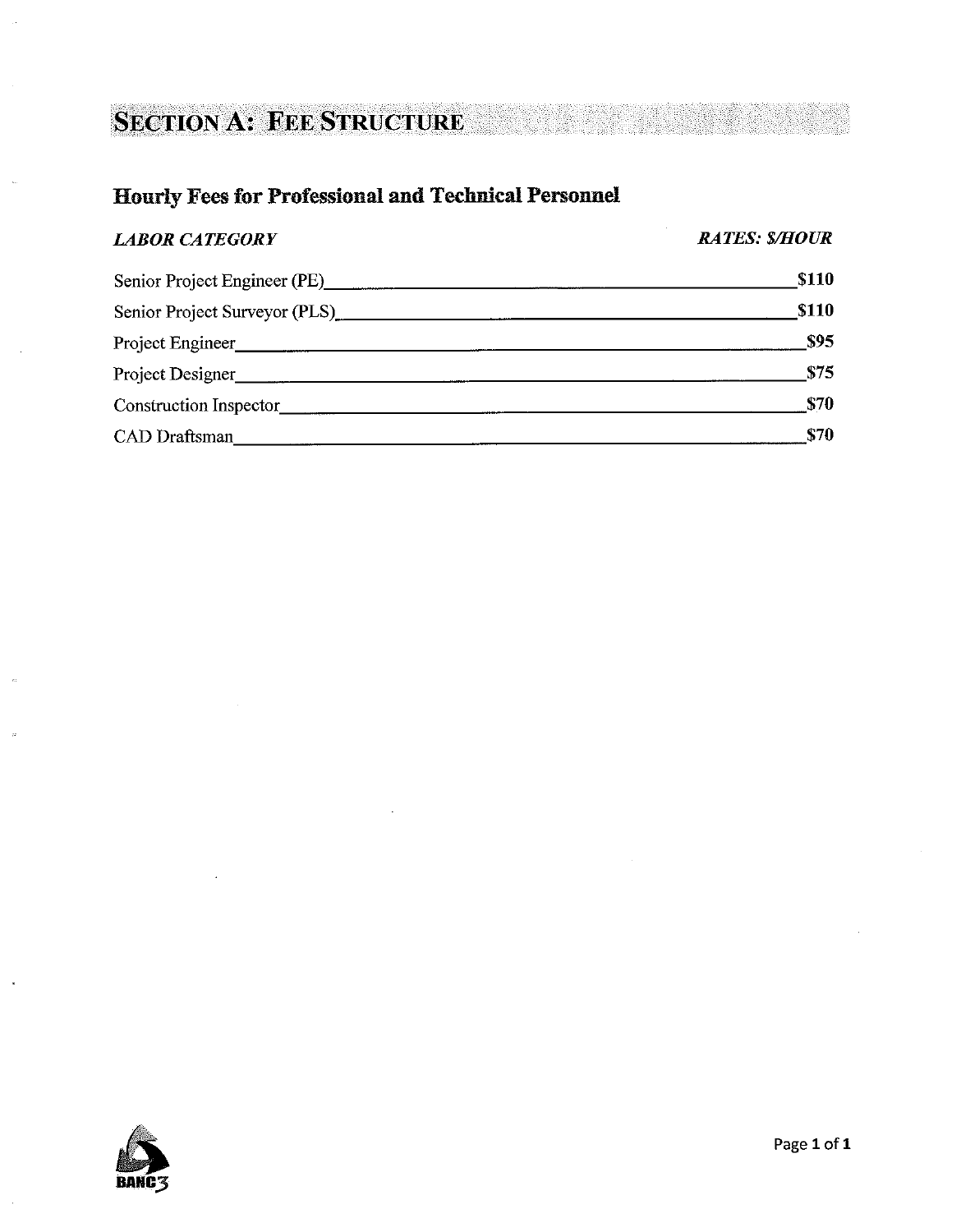# **SECTION A: FEE STRUCTURE**

# **Hourly Fees for Professional and Technical Personnel**

### **LABOR CATEGORY**

**RATES: \$/HOUR** 

| Senior Project Engineer (PE)  | <b>\$110</b> |
|-------------------------------|--------------|
| Senior Project Surveyor (PLS) | <b>\$110</b> |
| Project Engineer              | <b>\$95</b>  |
| Project Designer              | \$75         |
| Construction Inspector        | \$70         |
| <b>CAD</b> Draftsman          | \$70         |

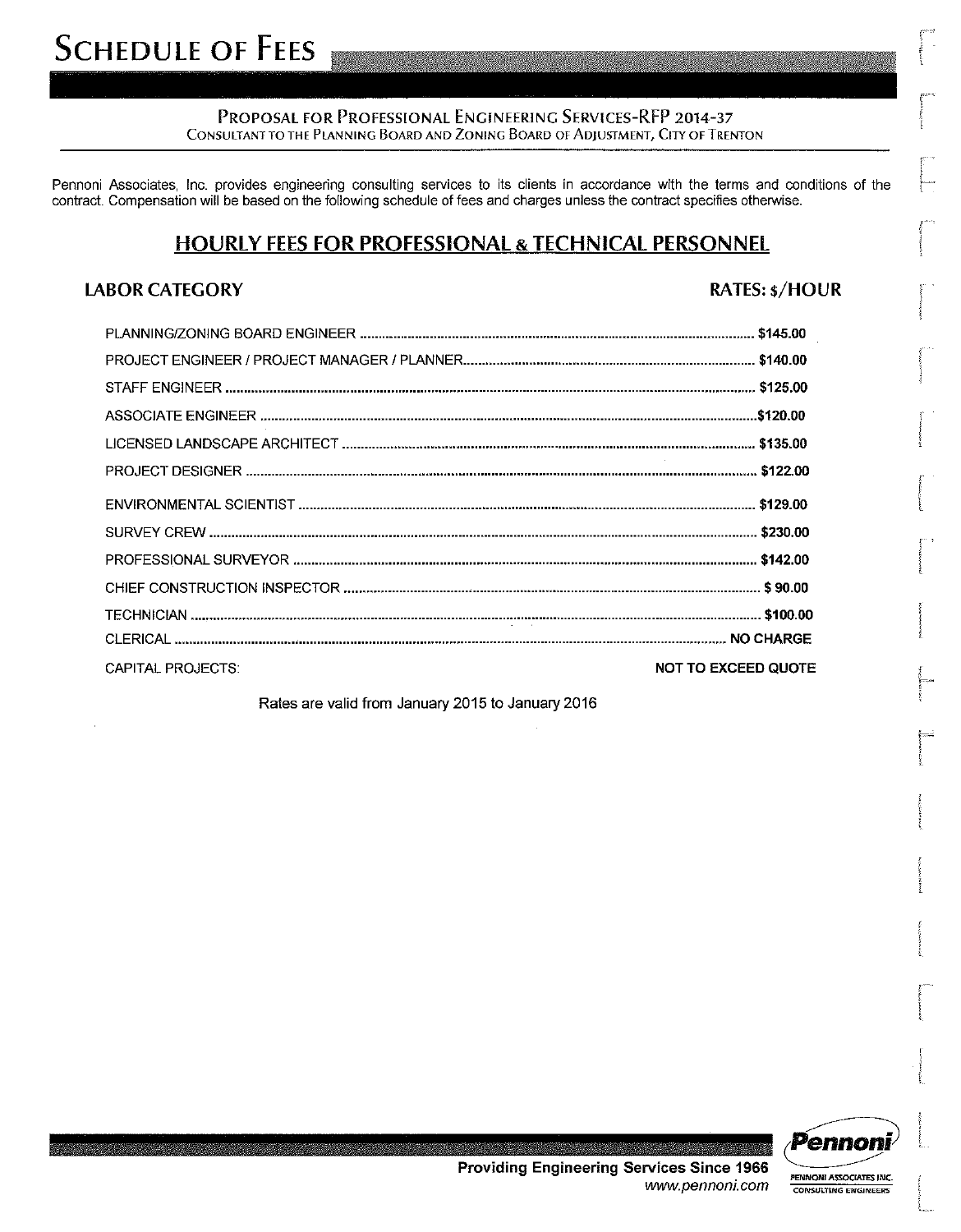#### PROPOSAL FOR PROFESSIONAL ENGINEERING SERVICES-RFP 2014-37 CONSULTANT TO THE PLANNING BOARD AND ZONING BOARD OF ADJUSTMENT, CITY OF TRENTON

Pennoni Associates, Inc. provides engineering consulting services to its clients in accordance with the terms and conditions of the contract. Compensation will be based on the following schedule of fees and charges unless the contract specifies otherwise.

# **HOURLY FEES FOR PROFESSIONAL & TECHNICAL PERSONNEL**

### **LABOR CATEGORY**

### **RATES: \$/HOUR**

| <b>CAPITAL PROJECTS:</b> | <b>NOT TO EXCEED QUOTE</b> |
|--------------------------|----------------------------|
|                          |                            |

Rates are valid from January 2015 to January 2016



PENNONI ASSOCIATES INC.

**CONSULTING ENGINEERS** 

**Providing Engineering Services Since 1966** www.pennoni.com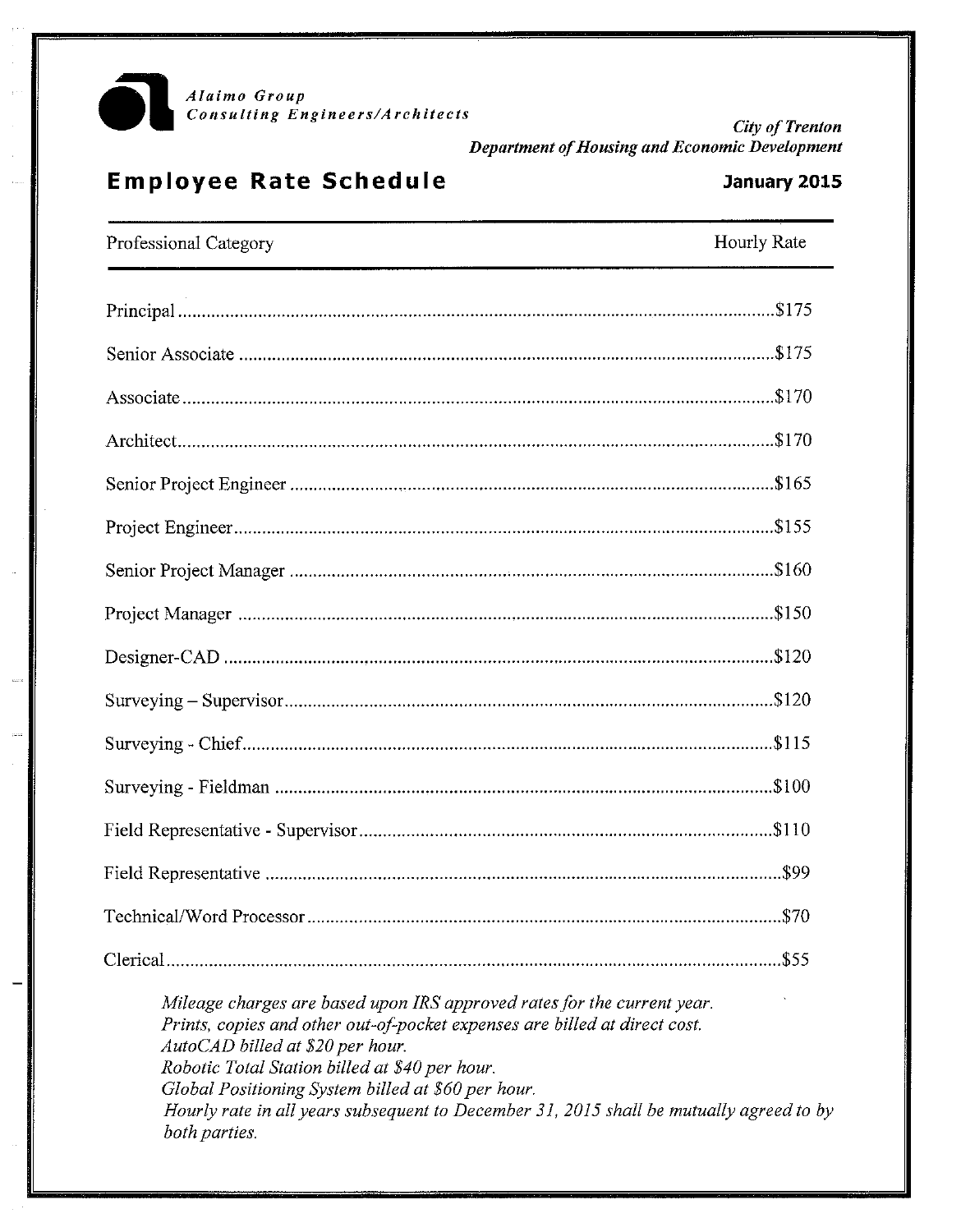

**City of Trenton** Department of Housing and Economic Development

# **Employee Rate Schedule**

### January 2015

| Professional Category                                                                                                                                 | Hourly Rate |
|-------------------------------------------------------------------------------------------------------------------------------------------------------|-------------|
|                                                                                                                                                       |             |
|                                                                                                                                                       |             |
|                                                                                                                                                       |             |
|                                                                                                                                                       |             |
|                                                                                                                                                       |             |
|                                                                                                                                                       |             |
|                                                                                                                                                       |             |
|                                                                                                                                                       |             |
|                                                                                                                                                       |             |
|                                                                                                                                                       |             |
|                                                                                                                                                       |             |
|                                                                                                                                                       |             |
|                                                                                                                                                       |             |
|                                                                                                                                                       |             |
|                                                                                                                                                       |             |
|                                                                                                                                                       |             |
| Mileage charges are based upon IRS approved rates for the current year.<br>Prints, copies and other out-of-pocket expenses are billed at direct cost. |             |

AutoCAD billed at \$20 per hour. Robotic Total Station billed at \$40 per hour. Global Positioning System billed at \$60 per hour. Hourly rate in all years subsequent to December 31, 2015 shall be mutually agreed to by both parties.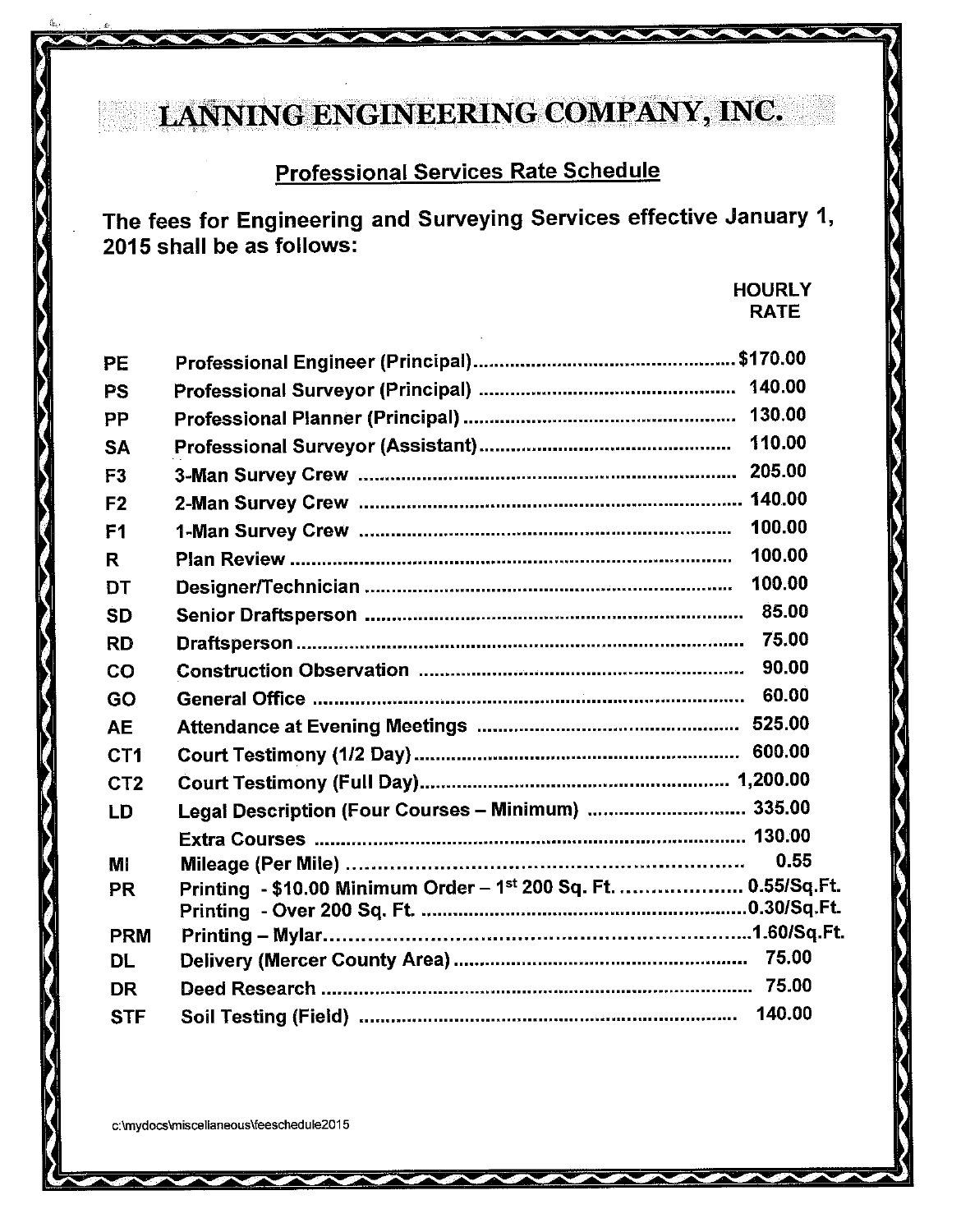# LANNING ENGINEERING COMPANY, INC.

# **Professional Services Rate Schedule**

The fees for Engineering and Surveying Services effective January 1, 2015 shall be as follows:

> **HOURLY RATE**

| PE              |                                                                 |        |
|-----------------|-----------------------------------------------------------------|--------|
| <b>PS</b>       |                                                                 |        |
| PP              |                                                                 |        |
| <b>SA</b>       |                                                                 |        |
| F <sub>3</sub>  |                                                                 |        |
| F <sub>2</sub>  |                                                                 |        |
| F <sub>1</sub>  |                                                                 |        |
| R.              |                                                                 | 100.00 |
| <b>DT</b>       |                                                                 | 100.00 |
| <b>SD</b>       |                                                                 |        |
| <b>RD</b>       |                                                                 |        |
| CO              |                                                                 |        |
| GO              |                                                                 |        |
| <b>AE</b>       |                                                                 |        |
| CT <sub>1</sub> |                                                                 |        |
| CT <sub>2</sub> |                                                                 |        |
| LD              | Legal Description (Four Courses - Minimum)  335.00              |        |
|                 |                                                                 |        |
| MI              |                                                                 | 0.55   |
| <b>PR</b>       | Printing - \$10.00 Minimum Order - 1st 200 Sq. Ft.  0.55/Sq.Ft. |        |
| <b>PRM</b>      |                                                                 |        |
| <b>DL</b>       |                                                                 |        |
| <b>DR</b>       |                                                                 |        |
| <b>STF</b>      |                                                                 | 140.00 |

c:\mydocs\miscellaneous\feeschedule2015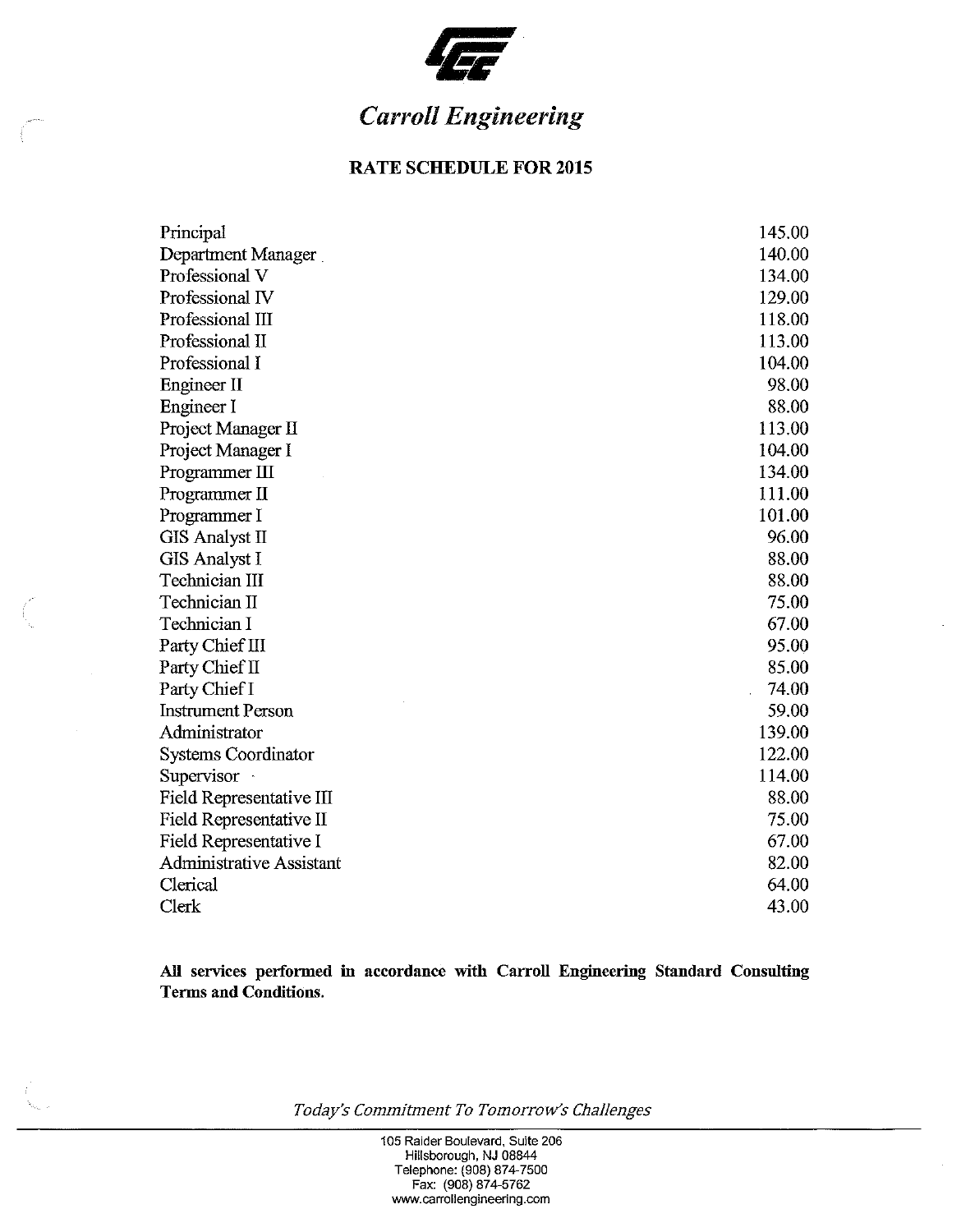

# **Carroll Engineering**

### **RATE SCHEDULE FOR 2015**

| Principal                       | 145.00 |
|---------------------------------|--------|
| Department Manager              | 140.00 |
| Professional V                  | 134.00 |
| Professional IV                 | 129.00 |
| Professional III                | 118.00 |
| Professional II                 | 113.00 |
| Professional I                  | 104.00 |
| Engineer II                     | 98.00  |
| Engineer I                      | 88.00  |
| Project Manager II              | 113.00 |
| Project Manager I               | 104.00 |
| Programmer III                  | 134.00 |
| Programmer II                   | 111.00 |
| Programmer I                    | 101.00 |
| <b>GIS Analyst II</b>           | 96.00  |
| <b>GIS Analyst I</b>            | 88.00  |
| <b>Technician III</b>           | 88.00  |
| Technician II                   | 75.00  |
| Technician I                    | 67.00  |
| Party Chief III                 | 95.00  |
| Party Chief II                  | 85.00  |
| Party Chief I                   | 74.00  |
| <b>Instrument Person</b>        | 59.00  |
| Administrator                   | 139.00 |
| <b>Systems Coordinator</b>      | 122.00 |
| Supervisor ·                    | 114.00 |
| Field Representative III        | 88.00  |
| Field Representative II         | 75.00  |
| Field Representative I          | 67.00  |
| <b>Administrative Assistant</b> | 82.00  |
| Clerical                        | 64.00  |
| Clerk                           | 43.00  |

All services performed in accordance with Carroll Engineering Standard Consulting **Terms and Conditions.** 

Today's Commitment To Tomorrow's Challenges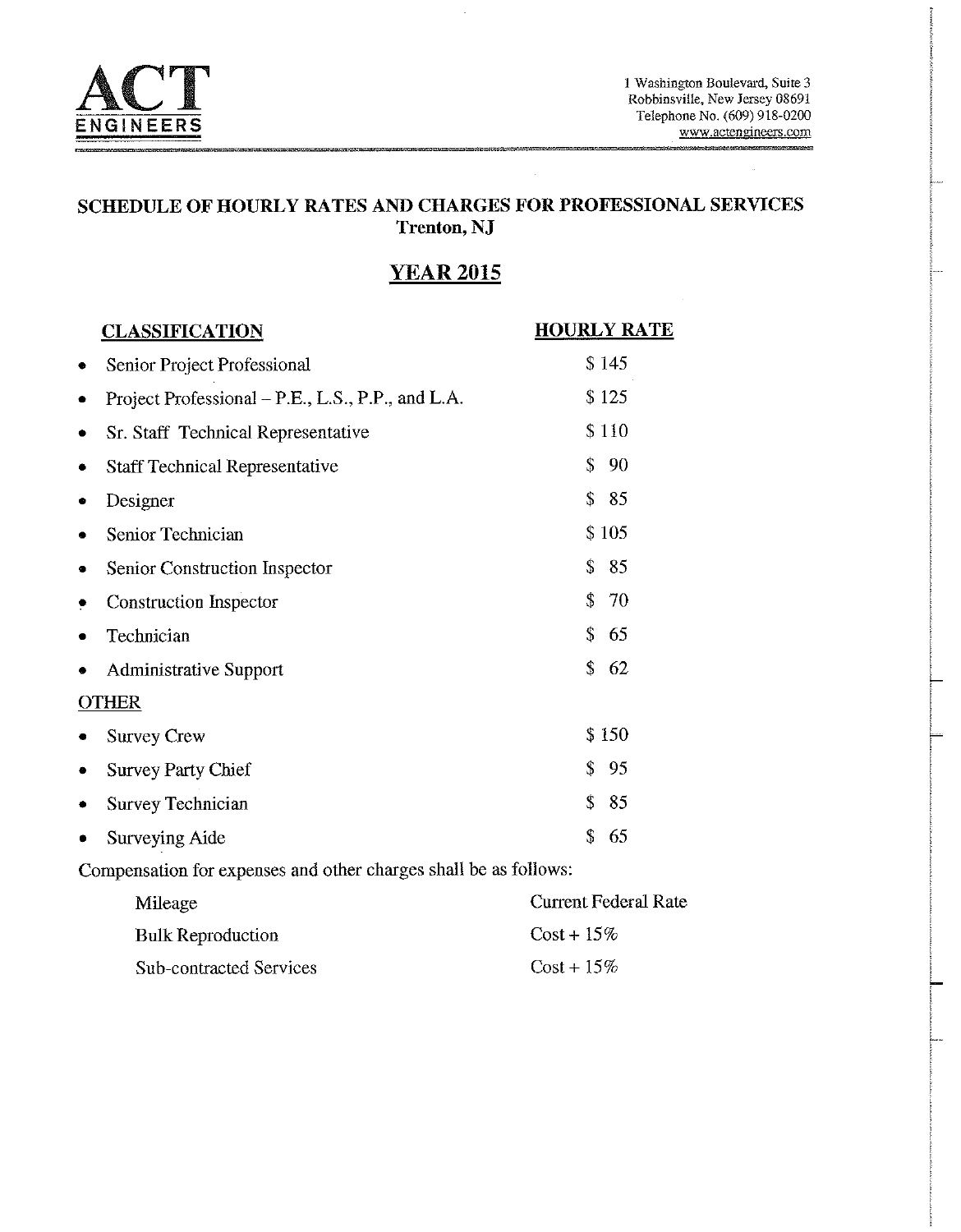

### SCHEDULE OF HOURLY RATES AND CHARGES FOR PROFESSIONAL SERVICES **Trenton, NJ**

# **YEAR 2015**

| <b>CLASSIFICATION</b>                                            | <b>HOURLY RATE</b>          |
|------------------------------------------------------------------|-----------------------------|
| Senior Project Professional<br>٠                                 | \$145                       |
| Project Professional – P.E., L.S., P.P., and L.A.<br>٠           | \$125                       |
| Sr. Staff Technical Representative<br>٠                          | \$110                       |
| <b>Staff Technical Representative</b><br>٠                       | \$<br>90                    |
| Designer<br>۰                                                    | \$<br>85                    |
| Senior Technician<br>$\bullet$                                   | \$105                       |
| Senior Construction Inspector<br>۰                               | \$<br>85                    |
| <b>Construction Inspector</b><br>۰                               | \$<br>70                    |
| Technician<br>٠                                                  | \$<br>65                    |
| <b>Administrative Support</b><br>۰                               | \$<br>62                    |
| <b>OTHER</b>                                                     |                             |
| <b>Survey Crew</b>                                               | \$150                       |
| <b>Survey Party Chief</b><br>۰                                   | \$<br>95                    |
| <b>Survey Technician</b>                                         | \$<br>85                    |
| Surveying Aide                                                   | $\mathbf{\hat{S}}$<br>65    |
| Compensation for expenses and other charges shall be as follows: |                             |
| Mileage                                                          | <b>Current Federal Rate</b> |
| <b>Bulk Reproduction</b>                                         | $Cost + 15\%$               |
| <b>Sub-contracted Services</b>                                   | $Cost + 15\%$               |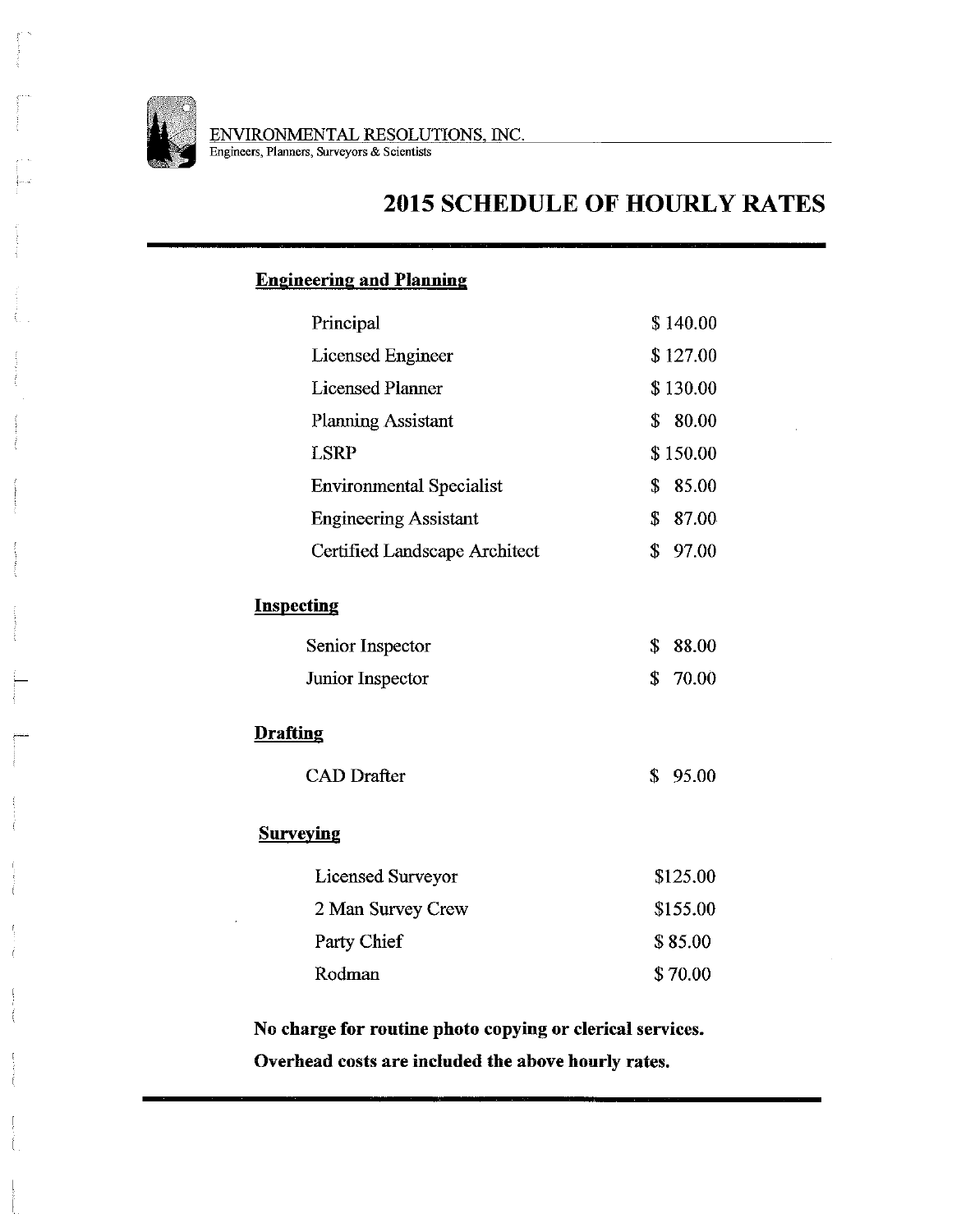

**2015 SCHEDULE OF HOURLY RATES** 

## **Engineering and Planning**

| Principal                       | \$140.00    |
|---------------------------------|-------------|
| <b>Licensed Engineer</b>        | \$127.00    |
| <b>Licensed Planner</b>         | \$130.00    |
| <b>Planning Assistant</b>       | 80.00<br>\$ |
| <b>LSRP</b>                     | \$150.00    |
| <b>Environmental Specialist</b> | \$<br>85.00 |
| <b>Engineering Assistant</b>    | \$<br>87.00 |
| Certified Landscape Architect   | \$<br>97.00 |
| <b>Inspecting</b>               |             |
| Senior Inspector                | \$<br>88.00 |
| Junior Inspector                | \$<br>70.00 |
| <b>Drafting</b>                 |             |
| <b>CAD</b> Drafter              | \$<br>95.00 |
| <b>Surveying</b>                |             |
| Licensed Surveyor               | \$125.00    |
| 2 Man Survey Crew               | \$155.00    |
| Party Chief                     | \$85.00     |
| Rodman                          | \$70.00     |
|                                 |             |

No charge for routine photo copying or clerical services. Overhead costs are included the above hourly rates.